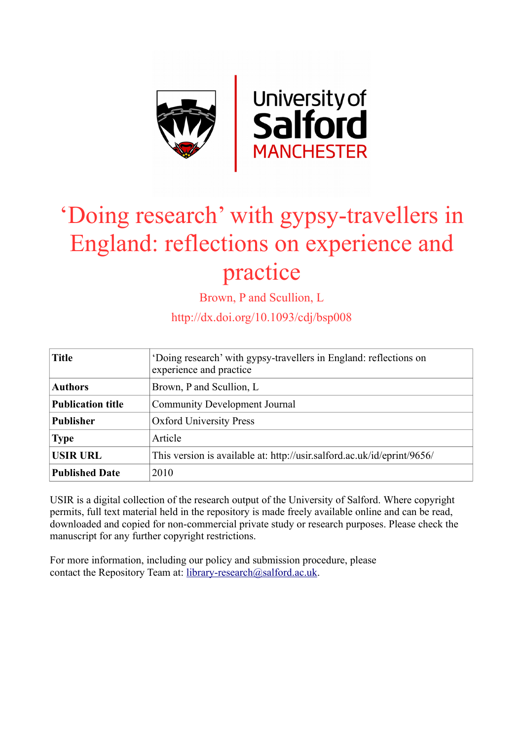

# 'Doing research' with gypsy-travellers in England: reflections on experience and practice

Brown, P and Scullion, L

http://dx.doi.org/10.1093/cdj/bsp008

| <b>Title</b>             | 'Doing research' with gypsy-travellers in England: reflections on<br>experience and practice |
|--------------------------|----------------------------------------------------------------------------------------------|
| <b>Authors</b>           | Brown, P and Scullion, L                                                                     |
| <b>Publication title</b> | <b>Community Development Journal</b>                                                         |
| <b>Publisher</b>         | <b>Oxford University Press</b>                                                               |
| <b>Type</b>              | Article                                                                                      |
| <b>USIR URL</b>          | This version is available at: http://usir.salford.ac.uk/id/eprint/9656/                      |
| <b>Published Date</b>    | 2010                                                                                         |

USIR is a digital collection of the research output of the University of Salford. Where copyright permits, full text material held in the repository is made freely available online and can be read, downloaded and copied for non-commercial private study or research purposes. Please check the manuscript for any further copyright restrictions.

For more information, including our policy and submission procedure, please contact the Repository Team at: [library-research@salford.ac.uk.](mailto:library-research@salford.ac.uk)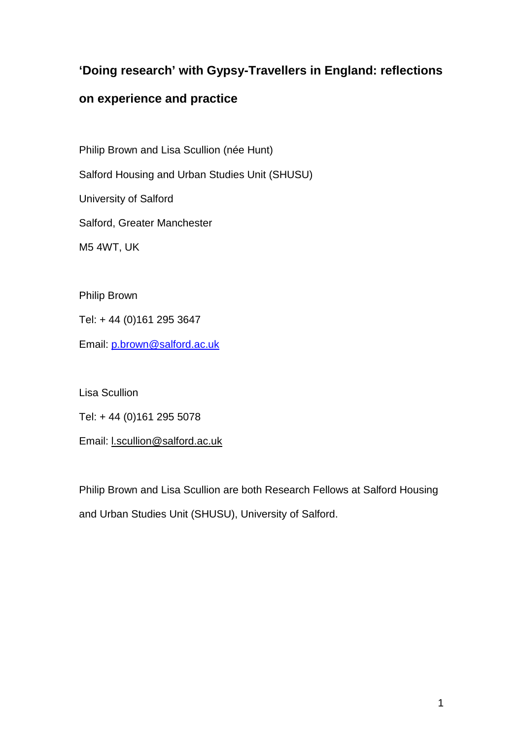## **'Doing research' with Gypsy-Travellers in England: reflections**

### **on experience and practice**

Philip Brown and Lisa Scullion (née Hunt)

Salford Housing and Urban Studies Unit (SHUSU)

University of Salford

Salford, Greater Manchester

M5 4WT, UK

Philip Brown

Tel: + 44 (0)161 295 3647

Email: [p.brown@salford.ac.uk](mailto:p.brown@salford.ac.uk)

Lisa Scullion

Tel: + 44 (0)161 295 5078

Email: [l.scullion@salford.ac.uk](mailto:l.hunt@salford.ac.uk)

Philip Brown and Lisa Scullion are both Research Fellows at Salford Housing and Urban Studies Unit (SHUSU), University of Salford.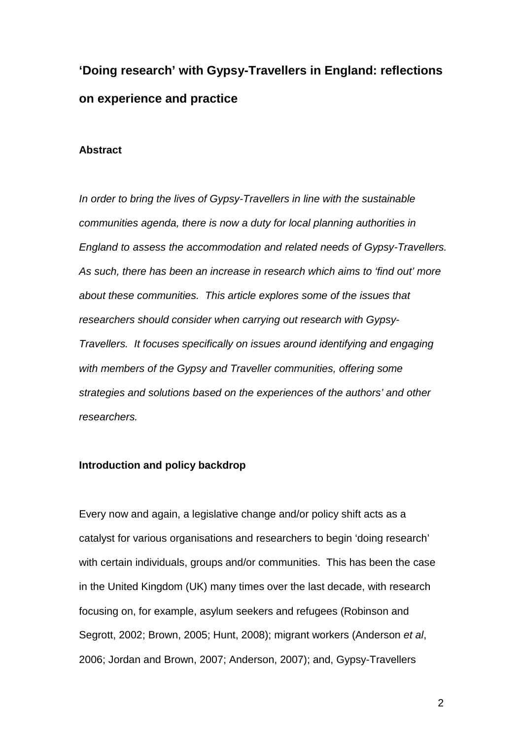# **'Doing research' with Gypsy-Travellers in England: reflections on experience and practice**

#### **Abstract**

*In order to bring the lives of Gypsy-Travellers in line with the sustainable communities agenda, there is now a duty for local planning authorities in England to assess the accommodation and related needs of Gypsy-Travellers. As such, there has been an increase in research which aims to 'find out' more about these communities. This article explores some of the issues that researchers should consider when carrying out research with Gypsy-Travellers. It focuses specifically on issues around identifying and engaging with members of the Gypsy and Traveller communities, offering some strategies and solutions based on the experiences of the authors' and other researchers.* 

#### **Introduction and policy backdrop**

Every now and again, a legislative change and/or policy shift acts as a catalyst for various organisations and researchers to begin 'doing research' with certain individuals, groups and/or communities. This has been the case in the United Kingdom (UK) many times over the last decade, with research focusing on, for example, asylum seekers and refugees (Robinson and Segrott, 2002; Brown, 2005; Hunt, 2008); migrant workers (Anderson *et al*, 2006; Jordan and Brown, 2007; Anderson, 2007); and, Gypsy-Travellers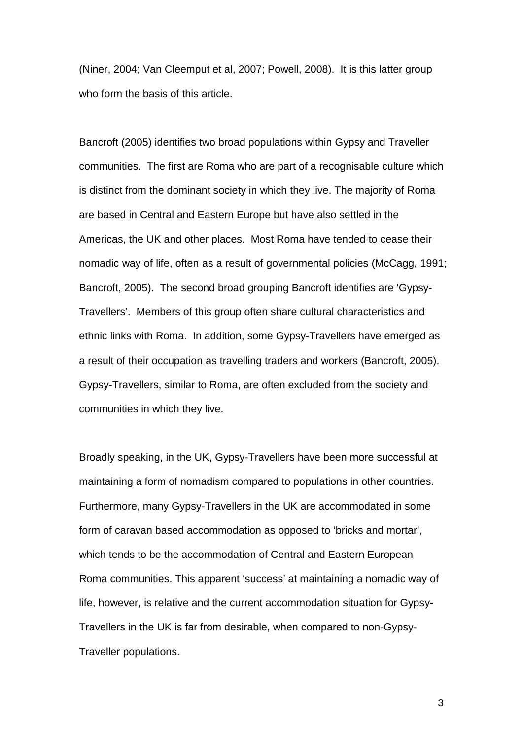(Niner, 2004; Van Cleemput et al, 2007; Powell, 2008). It is this latter group who form the basis of this article.

Bancroft (2005) identifies two broad populations within Gypsy and Traveller communities. The first are Roma who are part of a recognisable culture which is distinct from the dominant society in which they live. The majority of Roma are based in Central and Eastern Europe but have also settled in the Americas, the UK and other places. Most Roma have tended to cease their nomadic way of life, often as a result of governmental policies (McCagg, 1991; Bancroft, 2005). The second broad grouping Bancroft identifies are 'Gypsy-Travellers'. Members of this group often share cultural characteristics and ethnic links with Roma. In addition, some Gypsy-Travellers have emerged as a result of their occupation as travelling traders and workers (Bancroft, 2005). Gypsy-Travellers, similar to Roma, are often excluded from the society and communities in which they live.

Broadly speaking, in the UK, Gypsy-Travellers have been more successful at maintaining a form of nomadism compared to populations in other countries. Furthermore, many Gypsy-Travellers in the UK are accommodated in some form of caravan based accommodation as opposed to 'bricks and mortar', which tends to be the accommodation of Central and Eastern European Roma communities. This apparent 'success' at maintaining a nomadic way of life, however, is relative and the current accommodation situation for Gypsy-Travellers in the UK is far from desirable, when compared to non-Gypsy-Traveller populations.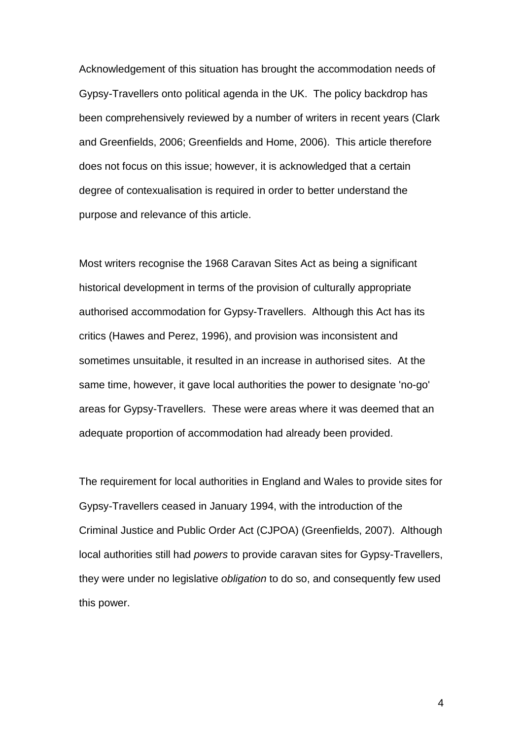Acknowledgement of this situation has brought the accommodation needs of Gypsy-Travellers onto political agenda in the UK. The policy backdrop has been comprehensively reviewed by a number of writers in recent years (Clark and Greenfields, 2006; Greenfields and Home, 2006). This article therefore does not focus on this issue; however, it is acknowledged that a certain degree of contexualisation is required in order to better understand the purpose and relevance of this article.

Most writers recognise the 1968 Caravan Sites Act as being a significant historical development in terms of the provision of culturally appropriate authorised accommodation for Gypsy-Travellers. Although this Act has its critics (Hawes and Perez, 1996), and provision was inconsistent and sometimes unsuitable, it resulted in an increase in authorised sites. At the same time, however, it gave local authorities the power to designate 'no-go' areas for Gypsy-Travellers. These were areas where it was deemed that an adequate proportion of accommodation had already been provided.

The requirement for local authorities in England and Wales to provide sites for Gypsy-Travellers ceased in January 1994, with the introduction of the Criminal Justice and Public Order Act (CJPOA) (Greenfields, 2007). Although local authorities still had *powers* to provide caravan sites for Gypsy-Travellers, they were under no legislative *obligation* to do so, and consequently few used this power.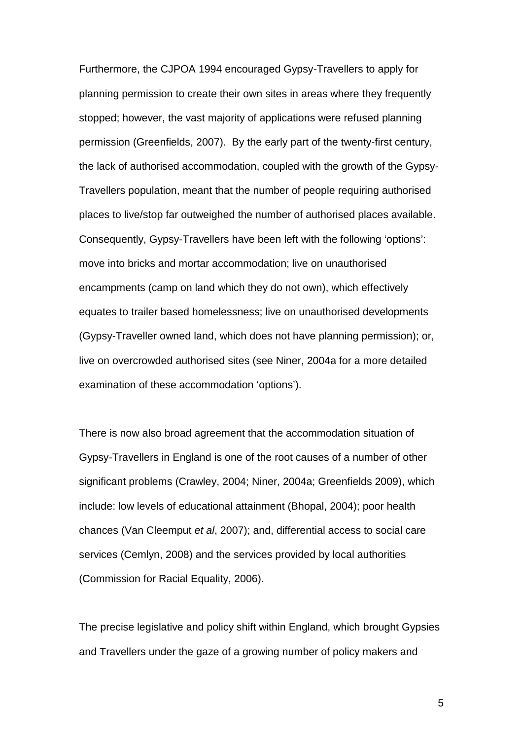Furthermore, the CJPOA 1994 encouraged Gypsy-Travellers to apply for planning permission to create their own sites in areas where they frequently stopped; however, the vast majority of applications were refused planning permission (Greenfields, 2007). By the early part of the twenty-first century, the lack of authorised accommodation, coupled with the growth of the Gypsy-Travellers population, meant that the number of people requiring authorised places to live/stop far outweighed the number of authorised places available. Consequently, Gypsy-Travellers have been left with the following 'options': move into bricks and mortar accommodation; live on unauthorised encampments (camp on land which they do not own), which effectively equates to trailer based homelessness; live on unauthorised developments (Gypsy-Traveller owned land, which does not have planning permission); or, live on overcrowded authorised sites (see Niner, 2004a for a more detailed examination of these accommodation 'options').

There is now also broad agreement that the accommodation situation of Gypsy-Travellers in England is one of the root causes of a number of other significant problems (Crawley, 2004; Niner, 2004a; Greenfields 2009), which include: low levels of educational attainment (Bhopal, 2004); poor health chances (Van Cleemput *et al*, 2007); and, differential access to social care services (Cemlyn, 2008) and the services provided by local authorities (Commission for Racial Equality, 2006).

The precise legislative and policy shift within England, which brought Gypsies and Travellers under the gaze of a growing number of policy makers and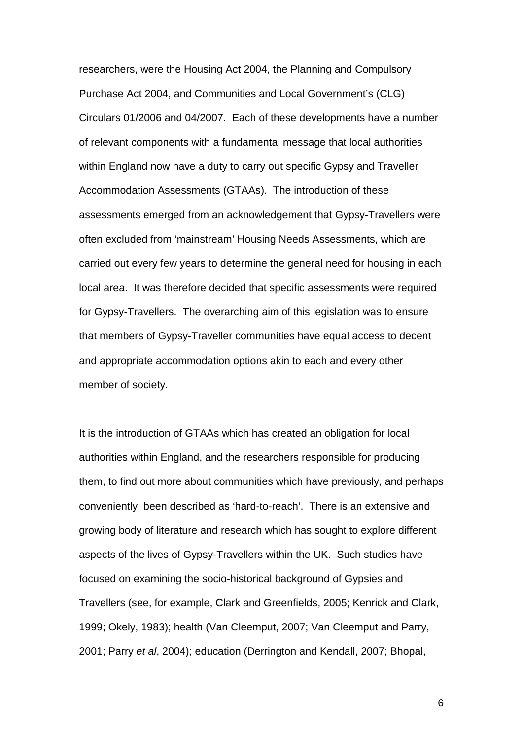researchers, were the Housing Act 2004, the Planning and Compulsory Purchase Act 2004, and Communities and Local Government's (CLG) Circulars 01/2006 and 04/2007. Each of these developments have a number of relevant components with a fundamental message that local authorities within England now have a duty to carry out specific Gypsy and Traveller Accommodation Assessments (GTAAs). The introduction of these assessments emerged from an acknowledgement that Gypsy-Travellers were often excluded from 'mainstream' Housing Needs Assessments, which are carried out every few years to determine the general need for housing in each local area. It was therefore decided that specific assessments were required for Gypsy-Travellers. The overarching aim of this legislation was to ensure that members of Gypsy-Traveller communities have equal access to decent and appropriate accommodation options akin to each and every other member of society.

It is the introduction of GTAAs which has created an obligation for local authorities within England, and the researchers responsible for producing them, to find out more about communities which have previously, and perhaps conveniently, been described as 'hard-to-reach'. There is an extensive and growing body of literature and research which has sought to explore different aspects of the lives of Gypsy-Travellers within the UK. Such studies have focused on examining the socio-historical background of Gypsies and Travellers (see, for example, Clark and Greenfields, 2005; Kenrick and Clark, 1999; Okely, 1983); health (Van Cleemput, 2007; Van Cleemput and Parry, 2001; Parry *et al*, 2004); education (Derrington and Kendall, 2007; Bhopal,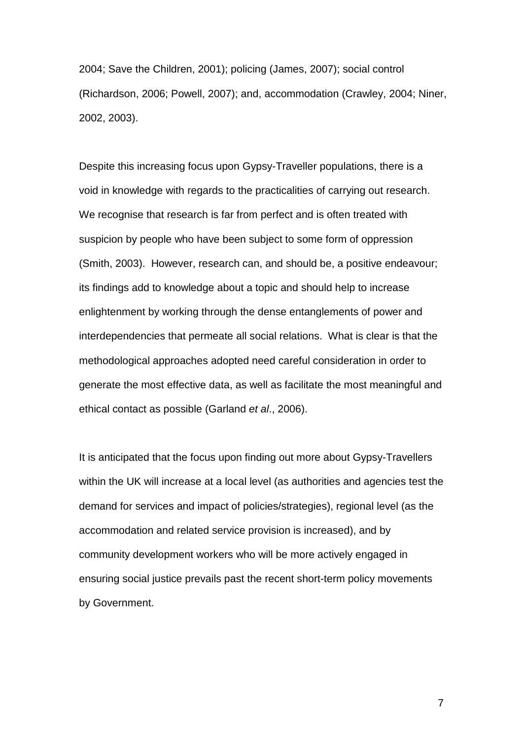2004; Save the Children, 2001); policing (James, 2007); social control (Richardson, 2006; Powell, 2007); and, accommodation (Crawley, 2004; Niner, 2002, 2003).

Despite this increasing focus upon Gypsy-Traveller populations, there is a void in knowledge with regards to the practicalities of carrying out research. We recognise that research is far from perfect and is often treated with suspicion by people who have been subject to some form of oppression (Smith, 2003). However, research can, and should be, a positive endeavour; its findings add to knowledge about a topic and should help to increase enlightenment by working through the dense entanglements of power and interdependencies that permeate all social relations. What is clear is that the methodological approaches adopted need careful consideration in order to generate the most effective data, as well as facilitate the most meaningful and ethical contact as possible (Garland *et al*., 2006).

It is anticipated that the focus upon finding out more about Gypsy-Travellers within the UK will increase at a local level (as authorities and agencies test the demand for services and impact of policies/strategies), regional level (as the accommodation and related service provision is increased), and by community development workers who will be more actively engaged in ensuring social justice prevails past the recent short-term policy movements by Government.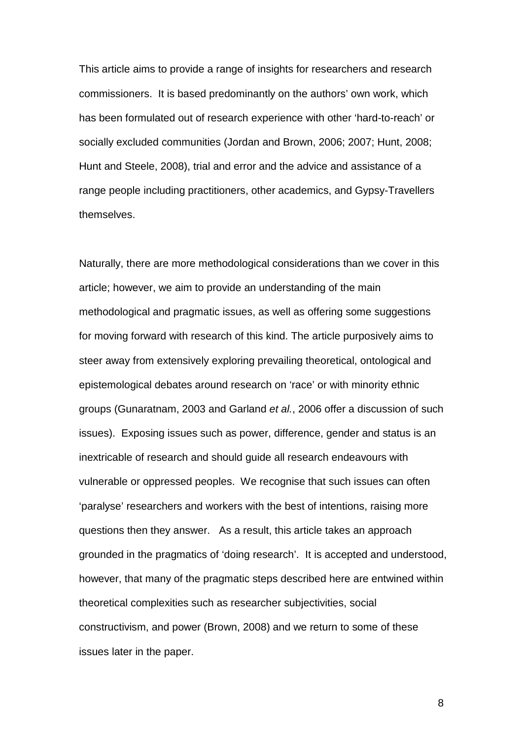This article aims to provide a range of insights for researchers and research commissioners. It is based predominantly on the authors' own work, which has been formulated out of research experience with other 'hard-to-reach' or socially excluded communities (Jordan and Brown, 2006; 2007; Hunt, 2008; Hunt and Steele, 2008), trial and error and the advice and assistance of a range people including practitioners, other academics, and Gypsy-Travellers themselves.

Naturally, there are more methodological considerations than we cover in this article; however, we aim to provide an understanding of the main methodological and pragmatic issues, as well as offering some suggestions for moving forward with research of this kind. The article purposively aims to steer away from extensively exploring prevailing theoretical, ontological and epistemological debates around research on 'race' or with minority ethnic groups (Gunaratnam, 2003 and Garland *et al.*, 2006 offer a discussion of such issues). Exposing issues such as power, difference, gender and status is an inextricable of research and should guide all research endeavours with vulnerable or oppressed peoples. We recognise that such issues can often 'paralyse' researchers and workers with the best of intentions, raising more questions then they answer. As a result, this article takes an approach grounded in the pragmatics of 'doing research'. It is accepted and understood, however, that many of the pragmatic steps described here are entwined within theoretical complexities such as researcher subjectivities, social constructivism, and power (Brown, 2008) and we return to some of these issues later in the paper.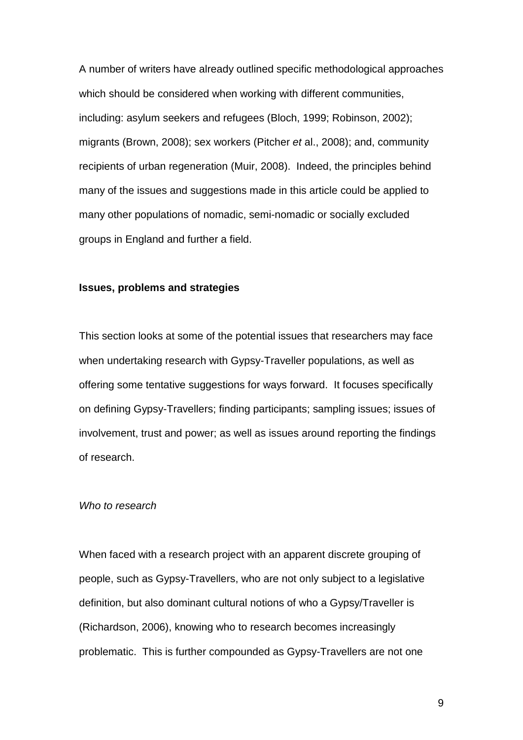A number of writers have already outlined specific methodological approaches which should be considered when working with different communities, including: asylum seekers and refugees (Bloch, 1999; Robinson, 2002); migrants (Brown, 2008); sex workers (Pitcher *et* al., 2008); and, community recipients of urban regeneration (Muir, 2008). Indeed, the principles behind many of the issues and suggestions made in this article could be applied to many other populations of nomadic, semi-nomadic or socially excluded groups in England and further a field.

#### **Issues, problems and strategies**

This section looks at some of the potential issues that researchers may face when undertaking research with Gypsy-Traveller populations, as well as offering some tentative suggestions for ways forward. It focuses specifically on defining Gypsy-Travellers; finding participants; sampling issues; issues of involvement, trust and power; as well as issues around reporting the findings of research.

#### *Who to research*

When faced with a research project with an apparent discrete grouping of people, such as Gypsy-Travellers, who are not only subject to a legislative definition, but also dominant cultural notions of who a Gypsy/Traveller is (Richardson, 2006), knowing who to research becomes increasingly problematic. This is further compounded as Gypsy-Travellers are not one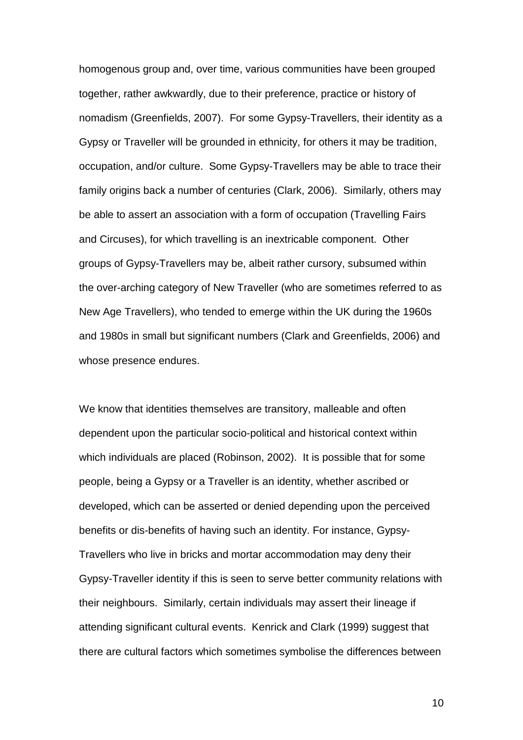homogenous group and, over time, various communities have been grouped together, rather awkwardly, due to their preference, practice or history of nomadism (Greenfields, 2007). For some Gypsy-Travellers, their identity as a Gypsy or Traveller will be grounded in ethnicity, for others it may be tradition, occupation, and/or culture. Some Gypsy-Travellers may be able to trace their family origins back a number of centuries (Clark, 2006). Similarly, others may be able to assert an association with a form of occupation (Travelling Fairs and Circuses), for which travelling is an inextricable component. Other groups of Gypsy-Travellers may be, albeit rather cursory, subsumed within the over-arching category of New Traveller (who are sometimes referred to as New Age Travellers), who tended to emerge within the UK during the 1960s and 1980s in small but significant numbers (Clark and Greenfields, 2006) and whose presence endures.

We know that identities themselves are transitory, malleable and often dependent upon the particular socio-political and historical context within which individuals are placed (Robinson, 2002). It is possible that for some people, being a Gypsy or a Traveller is an identity, whether ascribed or developed, which can be asserted or denied depending upon the perceived benefits or dis-benefits of having such an identity. For instance, Gypsy-Travellers who live in bricks and mortar accommodation may deny their Gypsy-Traveller identity if this is seen to serve better community relations with their neighbours. Similarly, certain individuals may assert their lineage if attending significant cultural events. Kenrick and Clark (1999) suggest that there are cultural factors which sometimes symbolise the differences between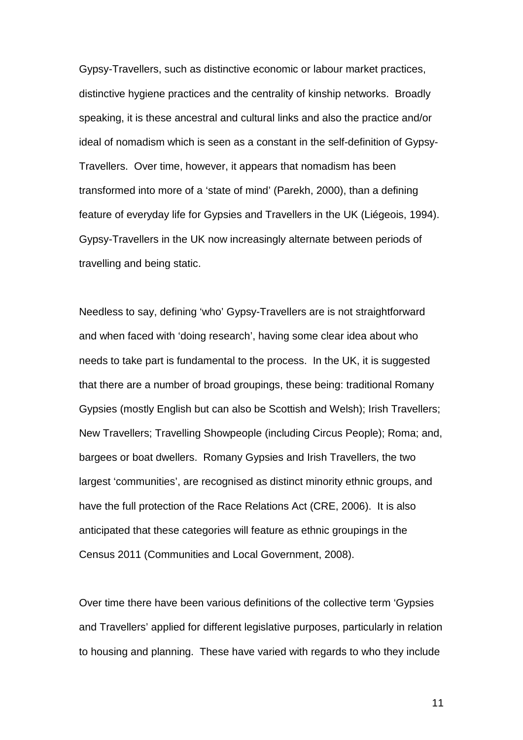Gypsy-Travellers, such as distinctive economic or labour market practices, distinctive hygiene practices and the centrality of kinship networks. Broadly speaking, it is these ancestral and cultural links and also the practice and/or ideal of nomadism which is seen as a constant in the self-definition of Gypsy-Travellers. Over time, however, it appears that nomadism has been transformed into more of a 'state of mind' (Parekh, 2000), than a defining feature of everyday life for Gypsies and Travellers in the UK (Liégeois, 1994). Gypsy-Travellers in the UK now increasingly alternate between periods of travelling and being static.

Needless to say, defining 'who' Gypsy-Travellers are is not straightforward and when faced with 'doing research', having some clear idea about who needs to take part is fundamental to the process. In the UK, it is suggested that there are a number of broad groupings, these being: traditional Romany Gypsies (mostly English but can also be Scottish and Welsh); Irish Travellers; New Travellers; Travelling Showpeople (including Circus People); Roma; and, bargees or boat dwellers. Romany Gypsies and Irish Travellers, the two largest 'communities', are recognised as distinct minority ethnic groups, and have the full protection of the Race Relations Act (CRE, 2006). It is also anticipated that these categories will feature as ethnic groupings in the Census 2011 (Communities and Local Government, 2008).

Over time there have been various definitions of the collective term 'Gypsies and Travellers' applied for different legislative purposes, particularly in relation to housing and planning. These have varied with regards to who they include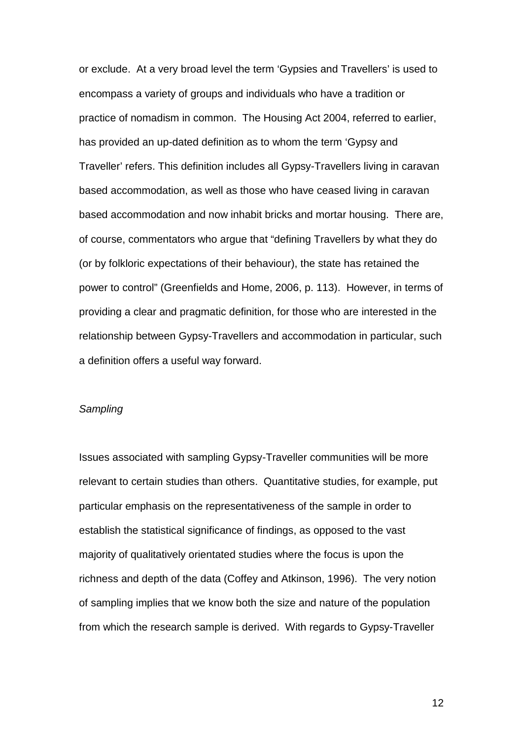or exclude. At a very broad level the term 'Gypsies and Travellers' is used to encompass a variety of groups and individuals who have a tradition or practice of nomadism in common. The Housing Act 2004, referred to earlier, has provided an up-dated definition as to whom the term 'Gypsy and Traveller' refers. This definition includes all Gypsy-Travellers living in caravan based accommodation, as well as those who have ceased living in caravan based accommodation and now inhabit bricks and mortar housing. There are, of course, commentators who argue that "defining Travellers by what they do (or by folkloric expectations of their behaviour), the state has retained the power to control" (Greenfields and Home, 2006, p. 113). However, in terms of providing a clear and pragmatic definition, for those who are interested in the relationship between Gypsy-Travellers and accommodation in particular, such a definition offers a useful way forward.

#### *Sampling*

Issues associated with sampling Gypsy-Traveller communities will be more relevant to certain studies than others. Quantitative studies, for example, put particular emphasis on the representativeness of the sample in order to establish the statistical significance of findings, as opposed to the vast majority of qualitatively orientated studies where the focus is upon the richness and depth of the data (Coffey and Atkinson, 1996). The very notion of sampling implies that we know both the size and nature of the population from which the research sample is derived. With regards to Gypsy-Traveller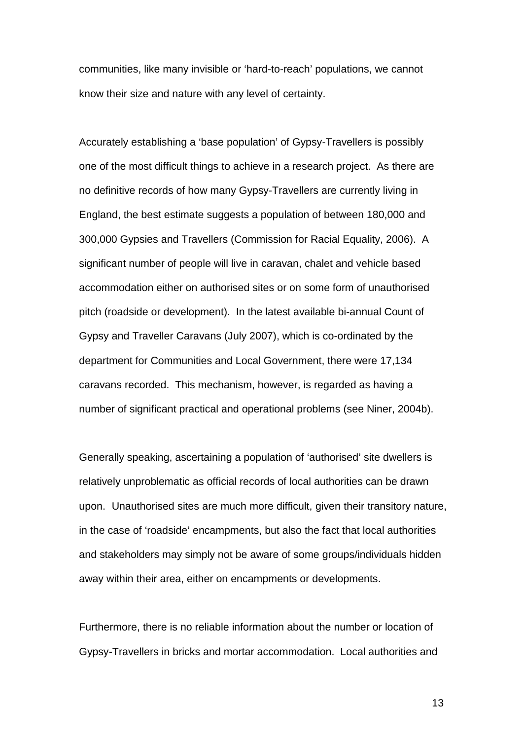communities, like many invisible or 'hard-to-reach' populations, we cannot know their size and nature with any level of certainty.

Accurately establishing a 'base population' of Gypsy-Travellers is possibly one of the most difficult things to achieve in a research project. As there are no definitive records of how many Gypsy-Travellers are currently living in England, the best estimate suggests a population of between 180,000 and 300,000 Gypsies and Travellers (Commission for Racial Equality, 2006). A significant number of people will live in caravan, chalet and vehicle based accommodation either on authorised sites or on some form of unauthorised pitch (roadside or development). In the latest available bi-annual Count of Gypsy and Traveller Caravans (July 2007), which is co-ordinated by the department for Communities and Local Government, there were 17,134 caravans recorded. This mechanism, however, is regarded as having a number of significant practical and operational problems (see Niner, 2004b).

Generally speaking, ascertaining a population of 'authorised' site dwellers is relatively unproblematic as official records of local authorities can be drawn upon. Unauthorised sites are much more difficult, given their transitory nature, in the case of 'roadside' encampments, but also the fact that local authorities and stakeholders may simply not be aware of some groups/individuals hidden away within their area, either on encampments or developments.

Furthermore, there is no reliable information about the number or location of Gypsy-Travellers in bricks and mortar accommodation. Local authorities and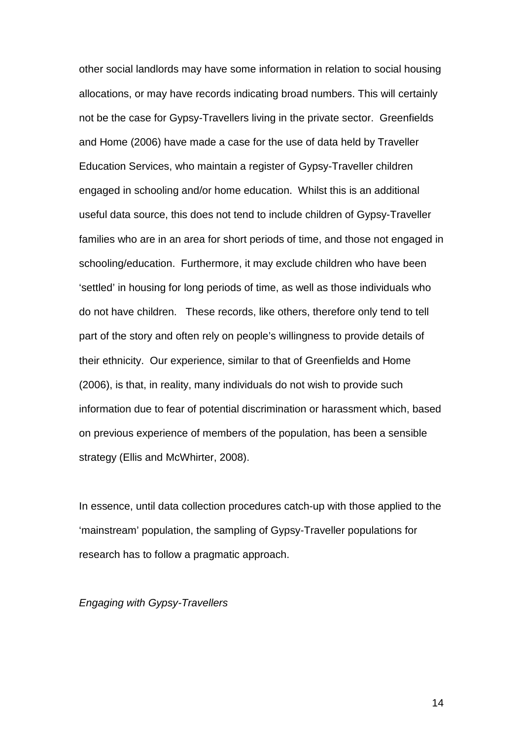other social landlords may have some information in relation to social housing allocations, or may have records indicating broad numbers. This will certainly not be the case for Gypsy-Travellers living in the private sector. Greenfields and Home (2006) have made a case for the use of data held by Traveller Education Services, who maintain a register of Gypsy-Traveller children engaged in schooling and/or home education. Whilst this is an additional useful data source, this does not tend to include children of Gypsy-Traveller families who are in an area for short periods of time, and those not engaged in schooling/education. Furthermore, it may exclude children who have been 'settled' in housing for long periods of time, as well as those individuals who do not have children. These records, like others, therefore only tend to tell part of the story and often rely on people's willingness to provide details of their ethnicity. Our experience, similar to that of Greenfields and Home (2006), is that, in reality, many individuals do not wish to provide such information due to fear of potential discrimination or harassment which, based on previous experience of members of the population, has been a sensible strategy (Ellis and McWhirter, 2008).

In essence, until data collection procedures catch-up with those applied to the 'mainstream' population, the sampling of Gypsy-Traveller populations for research has to follow a pragmatic approach.

#### *Engaging with Gypsy-Travellers*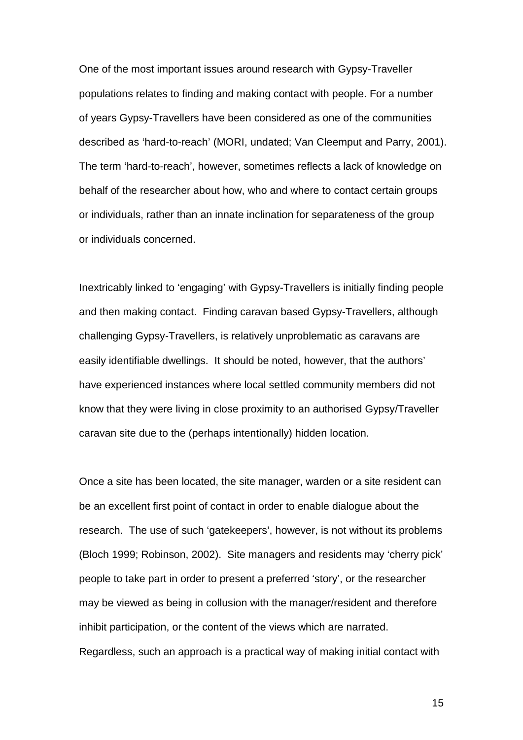One of the most important issues around research with Gypsy-Traveller populations relates to finding and making contact with people. For a number of years Gypsy-Travellers have been considered as one of the communities described as 'hard-to-reach' (MORI, undated; Van Cleemput and Parry, 2001). The term 'hard-to-reach', however, sometimes reflects a lack of knowledge on behalf of the researcher about how, who and where to contact certain groups or individuals, rather than an innate inclination for separateness of the group or individuals concerned.

Inextricably linked to 'engaging' with Gypsy-Travellers is initially finding people and then making contact. Finding caravan based Gypsy-Travellers, although challenging Gypsy-Travellers, is relatively unproblematic as caravans are easily identifiable dwellings. It should be noted, however, that the authors' have experienced instances where local settled community members did not know that they were living in close proximity to an authorised Gypsy/Traveller caravan site due to the (perhaps intentionally) hidden location.

Once a site has been located, the site manager, warden or a site resident can be an excellent first point of contact in order to enable dialogue about the research. The use of such 'gatekeepers', however, is not without its problems (Bloch 1999; Robinson, 2002). Site managers and residents may 'cherry pick' people to take part in order to present a preferred 'story', or the researcher may be viewed as being in collusion with the manager/resident and therefore inhibit participation, or the content of the views which are narrated. Regardless, such an approach is a practical way of making initial contact with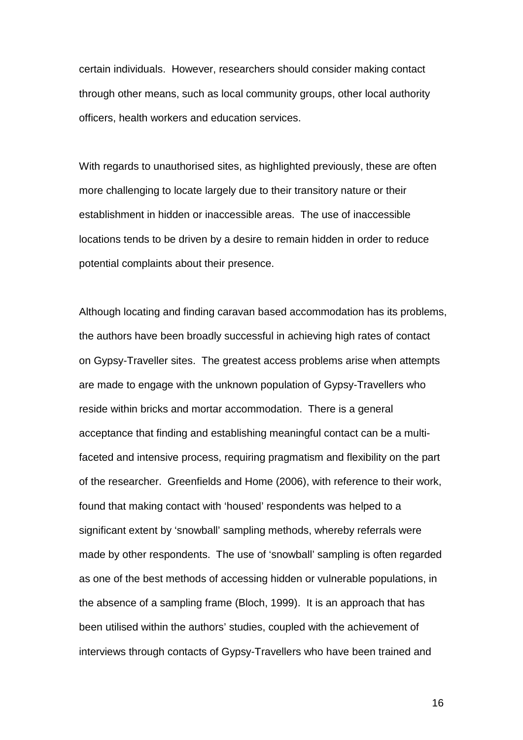certain individuals. However, researchers should consider making contact through other means, such as local community groups, other local authority officers, health workers and education services.

With regards to unauthorised sites, as highlighted previously, these are often more challenging to locate largely due to their transitory nature or their establishment in hidden or inaccessible areas. The use of inaccessible locations tends to be driven by a desire to remain hidden in order to reduce potential complaints about their presence.

Although locating and finding caravan based accommodation has its problems, the authors have been broadly successful in achieving high rates of contact on Gypsy-Traveller sites. The greatest access problems arise when attempts are made to engage with the unknown population of Gypsy-Travellers who reside within bricks and mortar accommodation. There is a general acceptance that finding and establishing meaningful contact can be a multifaceted and intensive process, requiring pragmatism and flexibility on the part of the researcher. Greenfields and Home (2006), with reference to their work, found that making contact with 'housed' respondents was helped to a significant extent by 'snowball' sampling methods, whereby referrals were made by other respondents. The use of 'snowball' sampling is often regarded as one of the best methods of accessing hidden or vulnerable populations, in the absence of a sampling frame (Bloch, 1999). It is an approach that has been utilised within the authors' studies, coupled with the achievement of interviews through contacts of Gypsy-Travellers who have been trained and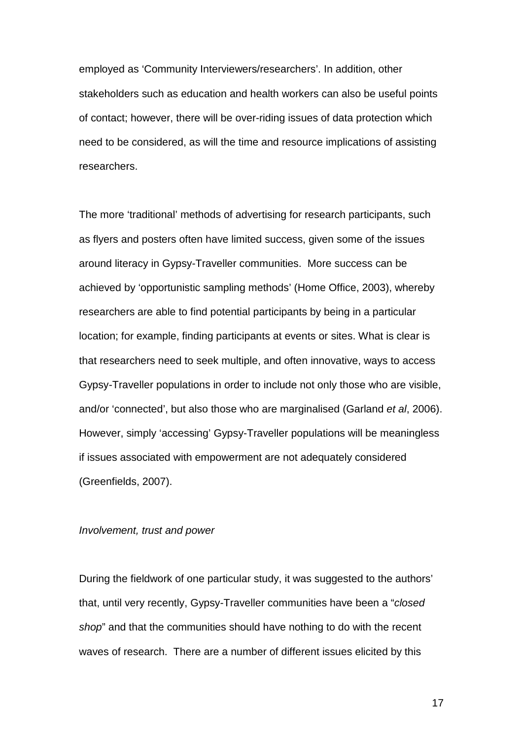employed as 'Community Interviewers/researchers'. In addition, other stakeholders such as education and health workers can also be useful points of contact; however, there will be over-riding issues of data protection which need to be considered, as will the time and resource implications of assisting researchers.

The more 'traditional' methods of advertising for research participants, such as flyers and posters often have limited success, given some of the issues around literacy in Gypsy-Traveller communities. More success can be achieved by 'opportunistic sampling methods' (Home Office, 2003), whereby researchers are able to find potential participants by being in a particular location; for example, finding participants at events or sites. What is clear is that researchers need to seek multiple, and often innovative, ways to access Gypsy-Traveller populations in order to include not only those who are visible, and/or 'connected', but also those who are marginalised (Garland *et al*, 2006). However, simply 'accessing' Gypsy-Traveller populations will be meaningless if issues associated with empowerment are not adequately considered (Greenfields, 2007).

#### *Involvement, trust and power*

During the fieldwork of one particular study, it was suggested to the authors' that, until very recently, Gypsy-Traveller communities have been a "*closed shop*" and that the communities should have nothing to do with the recent waves of research. There are a number of different issues elicited by this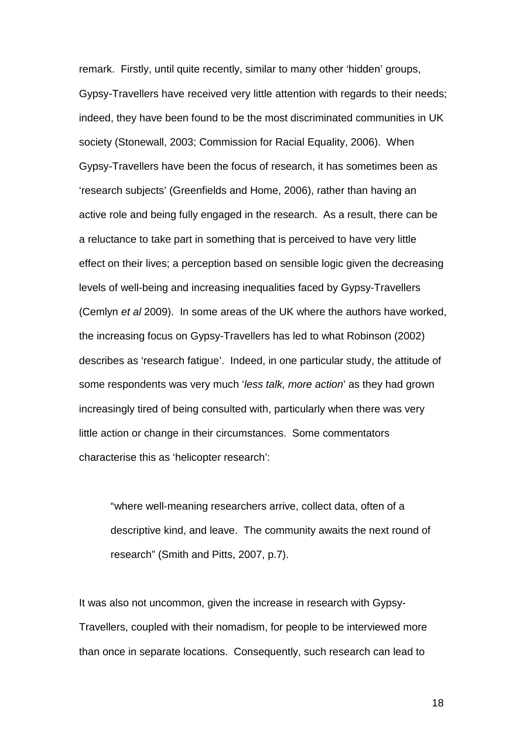remark. Firstly, until quite recently, similar to many other 'hidden' groups, Gypsy-Travellers have received very little attention with regards to their needs; indeed, they have been found to be the most discriminated communities in UK society (Stonewall, 2003; Commission for Racial Equality, 2006). When Gypsy-Travellers have been the focus of research, it has sometimes been as 'research subjects' (Greenfields and Home, 2006), rather than having an active role and being fully engaged in the research. As a result, there can be a reluctance to take part in something that is perceived to have very little effect on their lives; a perception based on sensible logic given the decreasing levels of well-being and increasing inequalities faced by Gypsy-Travellers (Cemlyn *et al* 2009). In some areas of the UK where the authors have worked, the increasing focus on Gypsy-Travellers has led to what Robinson (2002) describes as 'research fatigue'. Indeed, in one particular study, the attitude of some respondents was very much '*less talk, more action*' as they had grown increasingly tired of being consulted with, particularly when there was very little action or change in their circumstances. Some commentators characterise this as 'helicopter research':

"where well-meaning researchers arrive, collect data, often of a descriptive kind, and leave. The community awaits the next round of research" (Smith and Pitts, 2007, p.7).

It was also not uncommon, given the increase in research with Gypsy-Travellers, coupled with their nomadism, for people to be interviewed more than once in separate locations. Consequently, such research can lead to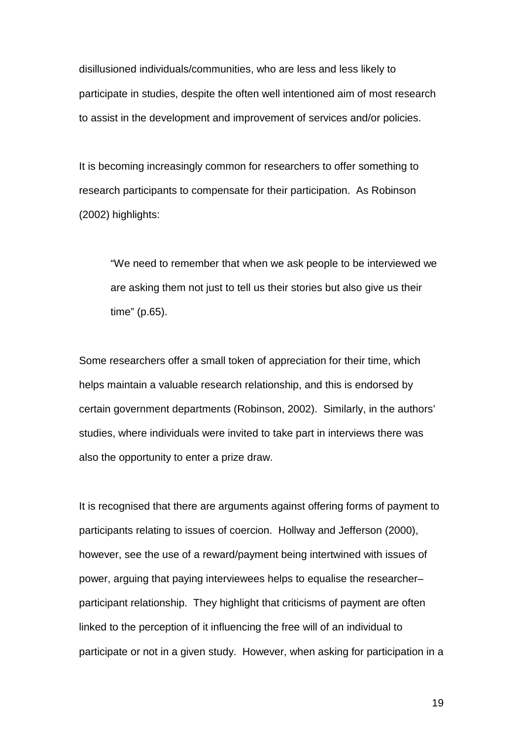disillusioned individuals/communities, who are less and less likely to participate in studies, despite the often well intentioned aim of most research to assist in the development and improvement of services and/or policies.

It is becoming increasingly common for researchers to offer something to research participants to compensate for their participation. As Robinson (2002) highlights:

"We need to remember that when we ask people to be interviewed we are asking them not just to tell us their stories but also give us their time" (p.65).

Some researchers offer a small token of appreciation for their time, which helps maintain a valuable research relationship, and this is endorsed by certain government departments (Robinson, 2002). Similarly, in the authors' studies, where individuals were invited to take part in interviews there was also the opportunity to enter a prize draw.

It is recognised that there are arguments against offering forms of payment to participants relating to issues of coercion. Hollway and Jefferson (2000), however, see the use of a reward/payment being intertwined with issues of power, arguing that paying interviewees helps to equalise the researcher– participant relationship. They highlight that criticisms of payment are often linked to the perception of it influencing the free will of an individual to participate or not in a given study. However, when asking for participation in a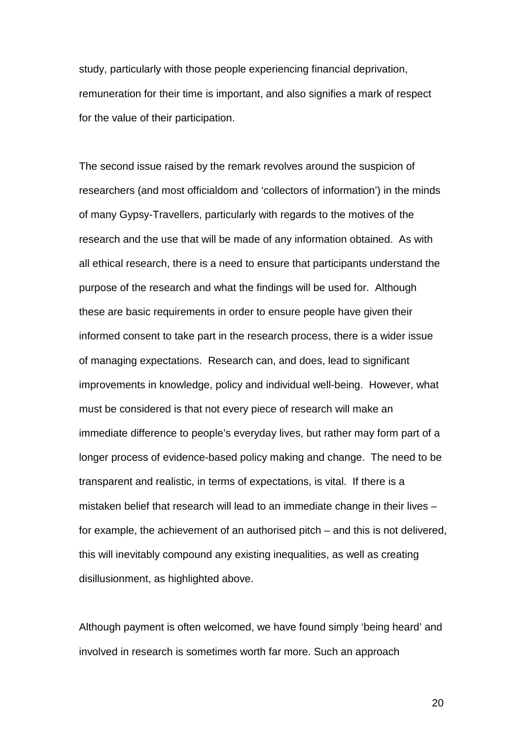study, particularly with those people experiencing financial deprivation, remuneration for their time is important, and also signifies a mark of respect for the value of their participation.

The second issue raised by the remark revolves around the suspicion of researchers (and most officialdom and 'collectors of information') in the minds of many Gypsy-Travellers, particularly with regards to the motives of the research and the use that will be made of any information obtained. As with all ethical research, there is a need to ensure that participants understand the purpose of the research and what the findings will be used for. Although these are basic requirements in order to ensure people have given their informed consent to take part in the research process, there is a wider issue of managing expectations. Research can, and does, lead to significant improvements in knowledge, policy and individual well-being. However, what must be considered is that not every piece of research will make an immediate difference to people's everyday lives, but rather may form part of a longer process of evidence-based policy making and change. The need to be transparent and realistic, in terms of expectations, is vital. If there is a mistaken belief that research will lead to an immediate change in their lives – for example, the achievement of an authorised pitch – and this is not delivered, this will inevitably compound any existing inequalities, as well as creating disillusionment, as highlighted above.

Although payment is often welcomed, we have found simply 'being heard' and involved in research is sometimes worth far more. Such an approach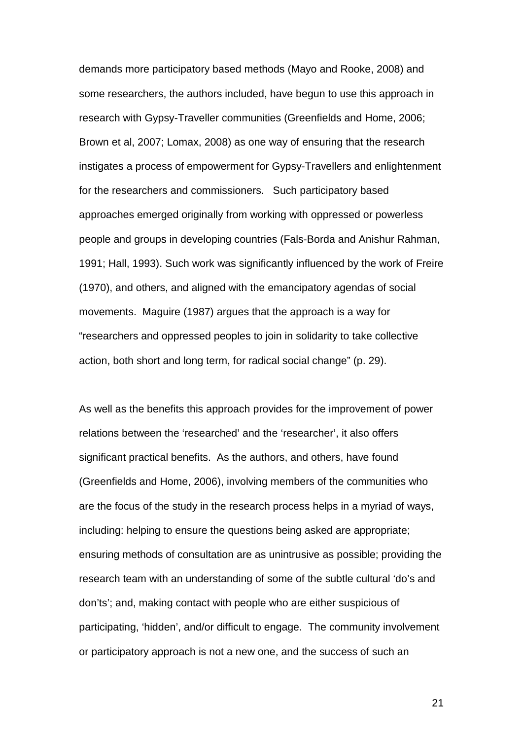demands more participatory based methods (Mayo and Rooke, 2008) and some researchers, the authors included, have begun to use this approach in research with Gypsy-Traveller communities (Greenfields and Home, 2006; Brown et al, 2007; Lomax, 2008) as one way of ensuring that the research instigates a process of empowerment for Gypsy-Travellers and enlightenment for the researchers and commissioners. Such participatory based approaches emerged originally from working with oppressed or powerless people and groups in developing countries (Fals-Borda and Anishur Rahman, 1991; Hall, 1993). Such work was significantly influenced by the work of Freire (1970), and others, and aligned with the emancipatory agendas of social movements. Maguire (1987) argues that the approach is a way for "researchers and oppressed peoples to join in solidarity to take collective action, both short and long term, for radical social change" (p. 29).

As well as the benefits this approach provides for the improvement of power relations between the 'researched' and the 'researcher', it also offers significant practical benefits. As the authors, and others, have found (Greenfields and Home, 2006), involving members of the communities who are the focus of the study in the research process helps in a myriad of ways, including: helping to ensure the questions being asked are appropriate; ensuring methods of consultation are as unintrusive as possible; providing the research team with an understanding of some of the subtle cultural 'do's and don'ts'; and, making contact with people who are either suspicious of participating, 'hidden', and/or difficult to engage. The community involvement or participatory approach is not a new one, and the success of such an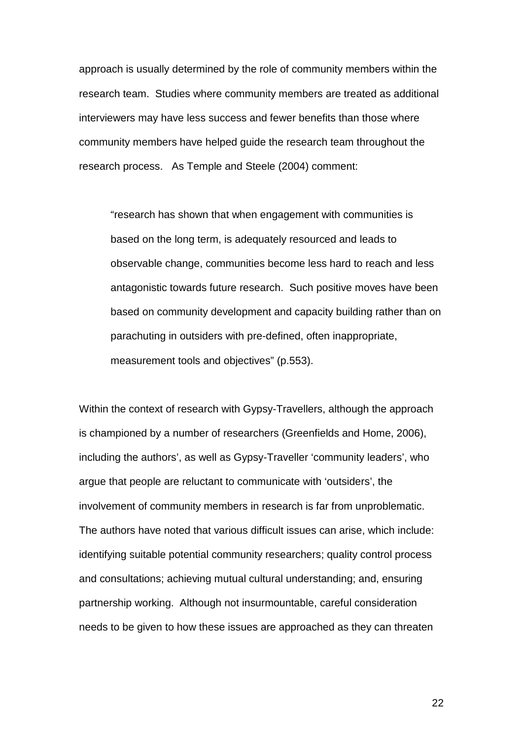approach is usually determined by the role of community members within the research team. Studies where community members are treated as additional interviewers may have less success and fewer benefits than those where community members have helped guide the research team throughout the research process. As Temple and Steele (2004) comment:

"research has shown that when engagement with communities is based on the long term, is adequately resourced and leads to observable change, communities become less hard to reach and less antagonistic towards future research. Such positive moves have been based on community development and capacity building rather than on parachuting in outsiders with pre-defined, often inappropriate, measurement tools and objectives" (p.553).

Within the context of research with Gypsy-Travellers, although the approach is championed by a number of researchers (Greenfields and Home, 2006), including the authors', as well as Gypsy-Traveller 'community leaders', who argue that people are reluctant to communicate with 'outsiders', the involvement of community members in research is far from unproblematic. The authors have noted that various difficult issues can arise, which include: identifying suitable potential community researchers; quality control process and consultations; achieving mutual cultural understanding; and, ensuring partnership working. Although not insurmountable, careful consideration needs to be given to how these issues are approached as they can threaten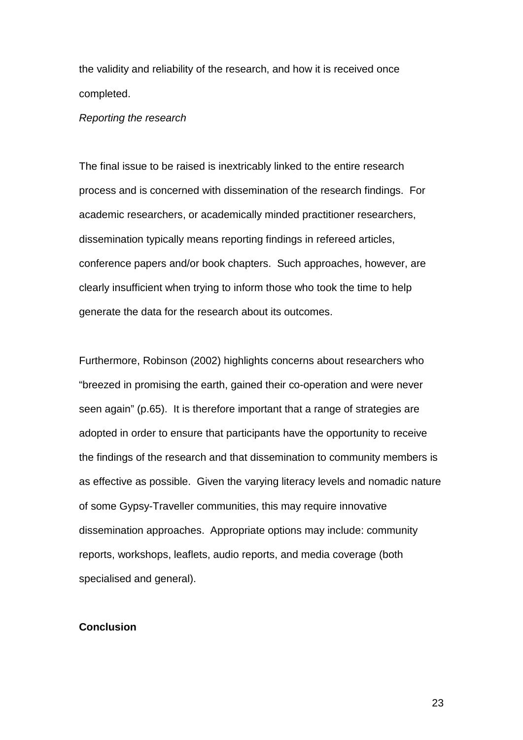the validity and reliability of the research, and how it is received once completed.

#### *Reporting the research*

The final issue to be raised is inextricably linked to the entire research process and is concerned with dissemination of the research findings. For academic researchers, or academically minded practitioner researchers, dissemination typically means reporting findings in refereed articles, conference papers and/or book chapters. Such approaches, however, are clearly insufficient when trying to inform those who took the time to help generate the data for the research about its outcomes.

Furthermore, Robinson (2002) highlights concerns about researchers who "breezed in promising the earth, gained their co-operation and were never seen again" (p.65). It is therefore important that a range of strategies are adopted in order to ensure that participants have the opportunity to receive the findings of the research and that dissemination to community members is as effective as possible. Given the varying literacy levels and nomadic nature of some Gypsy-Traveller communities, this may require innovative dissemination approaches. Appropriate options may include: community reports, workshops, leaflets, audio reports, and media coverage (both specialised and general).

#### **Conclusion**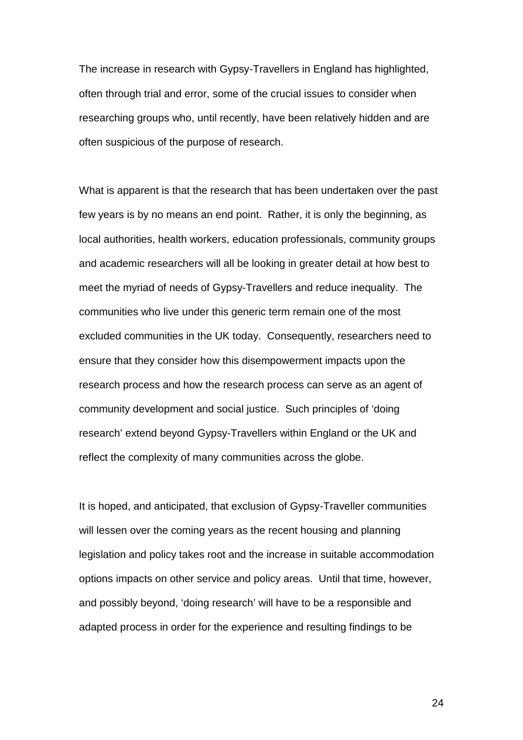The increase in research with Gypsy-Travellers in England has highlighted, often through trial and error, some of the crucial issues to consider when researching groups who, until recently, have been relatively hidden and are often suspicious of the purpose of research.

What is apparent is that the research that has been undertaken over the past few years is by no means an end point. Rather, it is only the beginning, as local authorities, health workers, education professionals, community groups and academic researchers will all be looking in greater detail at how best to meet the myriad of needs of Gypsy-Travellers and reduce inequality. The communities who live under this generic term remain one of the most excluded communities in the UK today. Consequently, researchers need to ensure that they consider how this disempowerment impacts upon the research process and how the research process can serve as an agent of community development and social justice. Such principles of 'doing research' extend beyond Gypsy-Travellers within England or the UK and reflect the complexity of many communities across the globe.

It is hoped, and anticipated, that exclusion of Gypsy-Traveller communities will lessen over the coming years as the recent housing and planning legislation and policy takes root and the increase in suitable accommodation options impacts on other service and policy areas. Until that time, however, and possibly beyond, 'doing research' will have to be a responsible and adapted process in order for the experience and resulting findings to be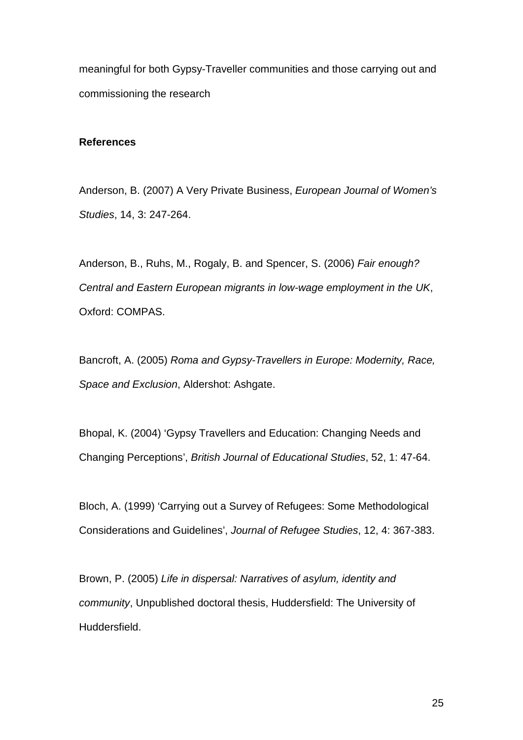meaningful for both Gypsy-Traveller communities and those carrying out and commissioning the research

#### **References**

Anderson, B. (2007) A Very Private Business, *European Journal of Women's Studies*, 14, 3: 247-264.

Anderson, B., Ruhs, M., Rogaly, B. and Spencer, S. (2006) *Fair enough? Central and Eastern European migrants in low-wage employment in the UK*, Oxford: COMPAS.

Bancroft, A. (2005) *Roma and Gypsy-Travellers in Europe: Modernity, Race, Space and Exclusion*, Aldershot: Ashgate.

Bhopal, K. (2004) 'Gypsy Travellers and Education: Changing Needs and Changing Perceptions', *British Journal of Educational Studies*, 52, 1: 47-64.

Bloch, A. (1999) 'Carrying out a Survey of Refugees: Some Methodological Considerations and Guidelines', *Journal of Refugee Studies*, 12, 4: 367-383.

Brown, P. (2005) *Life in dispersal: Narratives of asylum, identity and community*, Unpublished doctoral thesis, Huddersfield: The University of Huddersfield.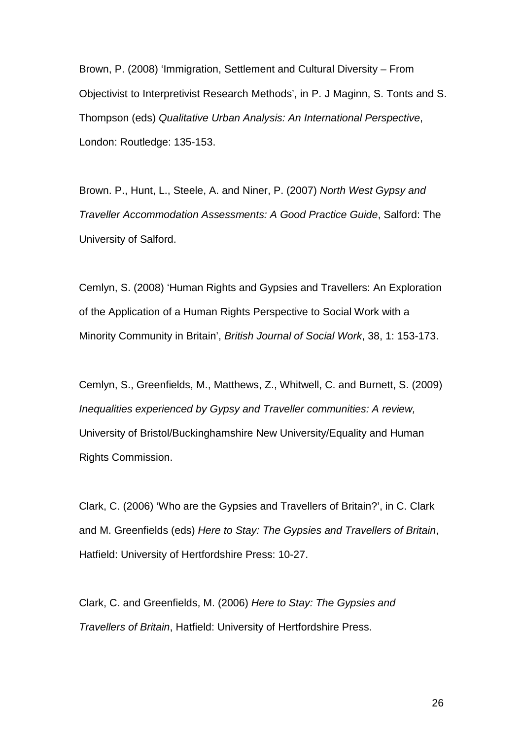Brown, P. (2008) 'Immigration, Settlement and Cultural Diversity – From Objectivist to Interpretivist Research Methods', in P. J Maginn, S. Tonts and S. Thompson (eds) *Qualitative Urban Analysis: An International Perspective*, London: Routledge: 135-153.

Brown. P., Hunt, L., Steele, A. and Niner, P. (2007) *North West Gypsy and Traveller Accommodation Assessments: A Good Practice Guide*, Salford: The University of Salford.

Cemlyn, S. (2008) 'Human Rights and Gypsies and Travellers: An Exploration of the Application of a Human Rights Perspective to Social Work with a Minority Community in Britain', *British Journal of Social Work*, 38, 1: 153-173.

Cemlyn, S., Greenfields, M., Matthews, Z., Whitwell, C. and Burnett, S. (2009) *Inequalities experienced by Gypsy and Traveller communities: A review,* University of Bristol/Buckinghamshire New University/Equality and Human Rights Commission.

Clark, C. (2006) 'Who are the Gypsies and Travellers of Britain?', in C. Clark and M. Greenfields (eds) *Here to Stay: The Gypsies and Travellers of Britain*, Hatfield: University of Hertfordshire Press: 10-27.

Clark, C. and Greenfields, M. (2006) *Here to Stay: The Gypsies and Travellers of Britain*, Hatfield: University of Hertfordshire Press.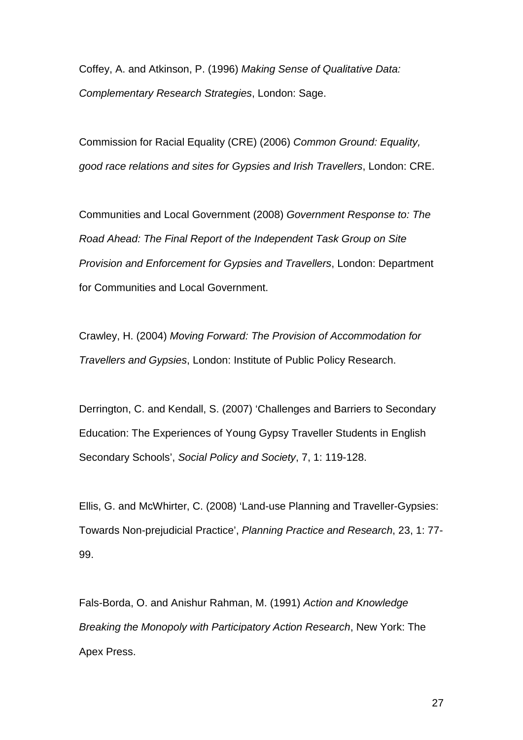Coffey, A. and Atkinson, P. (1996) *Making Sense of Qualitative Data: Complementary Research Strategies*, London: Sage.

Commission for Racial Equality (CRE) (2006) *Common Ground: Equality, good race relations and sites for Gypsies and Irish Travellers*, London: CRE.

Communities and Local Government (2008) *Government Response to: The Road Ahead: The Final Report of the Independent Task Group on Site Provision and Enforcement for Gypsies and Travellers*, London: Department for Communities and Local Government.

Crawley, H. (2004) *Moving Forward: The Provision of Accommodation for Travellers and Gypsies*, London: Institute of Public Policy Research.

Derrington, C. and Kendall, S. (2007) 'Challenges and Barriers to Secondary Education: The Experiences of Young Gypsy Traveller Students in English Secondary Schools', *Social Policy and Society*, 7, 1: 119-128.

Ellis, G. and McWhirter, C. (2008) 'Land-use Planning and Traveller-Gypsies: Towards Non-prejudicial Practice', *Planning Practice and Research*, 23, 1: 77- 99.

Fals-Borda, O. and Anishur Rahman, M. (1991) *Action and Knowledge Breaking the Monopoly with Participatory Action Research*, New York: The Apex Press.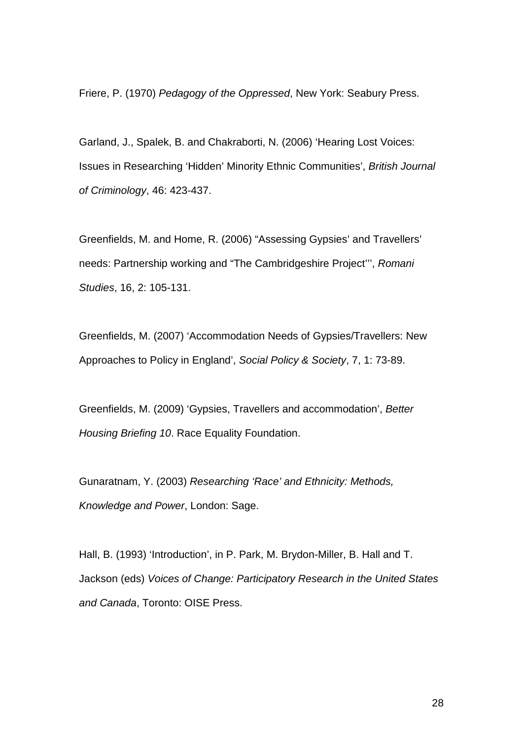Friere, P. (1970) *Pedagogy of the Oppressed*, New York: Seabury Press.

Garland, J., Spalek, B. and Chakraborti, N. (2006) 'Hearing Lost Voices: Issues in Researching 'Hidden' Minority Ethnic Communities', *British Journal of Criminology*, 46: 423-437.

Greenfields, M. and Home, R. (2006) "Assessing Gypsies' and Travellers' needs: Partnership working and "The Cambridgeshire Project''', *Romani Studies*, 16, 2: 105-131.

Greenfields, M. (2007) 'Accommodation Needs of Gypsies/Travellers: New Approaches to Policy in England', *Social Policy & Society*, 7, 1: 73-89.

Greenfields, M. (2009) 'Gypsies, Travellers and accommodation', *Better Housing Briefing 10*. Race Equality Foundation.

Gunaratnam, Y. (2003) *Researching 'Race' and Ethnicity: Methods, Knowledge and Power*, London: Sage.

Hall, B. (1993) 'Introduction', in P. Park, M. Brydon-Miller, B. Hall and T. Jackson (eds) *Voices of Change: Participatory Research in the United States and Canada*, Toronto: OISE Press.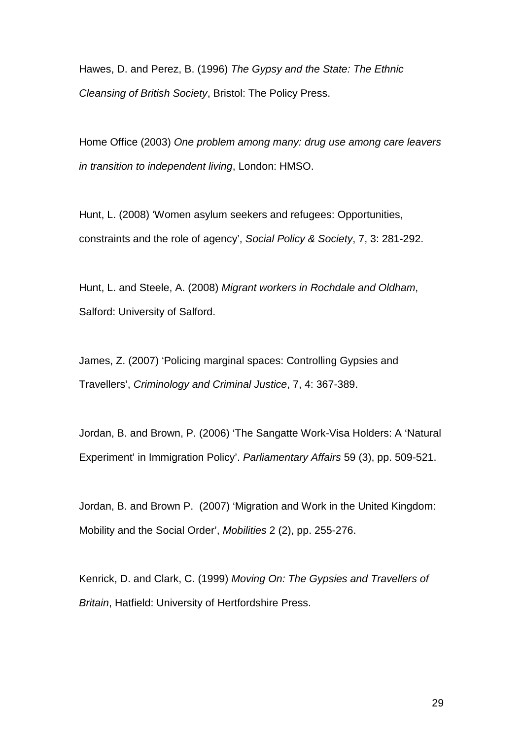Hawes, D. and Perez, B. (1996) *The Gypsy and the State: The Ethnic Cleansing of British Society*, Bristol: The Policy Press.

Home Office (2003) *One problem among many: drug use among care leavers in transition to independent living*, London: HMSO.

Hunt, L. (2008) 'Women asylum seekers and refugees: Opportunities, constraints and the role of agency', *Social Policy & Society*, 7, 3: 281-292.

Hunt, L. and Steele, A. (2008) *Migrant workers in Rochdale and Oldham*, Salford: University of Salford.

James, Z. (2007) 'Policing marginal spaces: Controlling Gypsies and Travellers', *Criminology and Criminal Justice*, 7, 4: 367-389.

Jordan, B. and Brown, P. (2006) 'The Sangatte Work-Visa Holders: A 'Natural Experiment' in Immigration Policy'. *Parliamentary Affairs* 59 (3), pp. 509-521.

Jordan, B. and Brown P. (2007) 'Migration and Work in the United Kingdom: Mobility and the Social Order', *Mobilities* 2 (2), pp. 255-276.

Kenrick, D. and Clark, C. (1999) *Moving On: The Gypsies and Travellers of Britain*, Hatfield: University of Hertfordshire Press.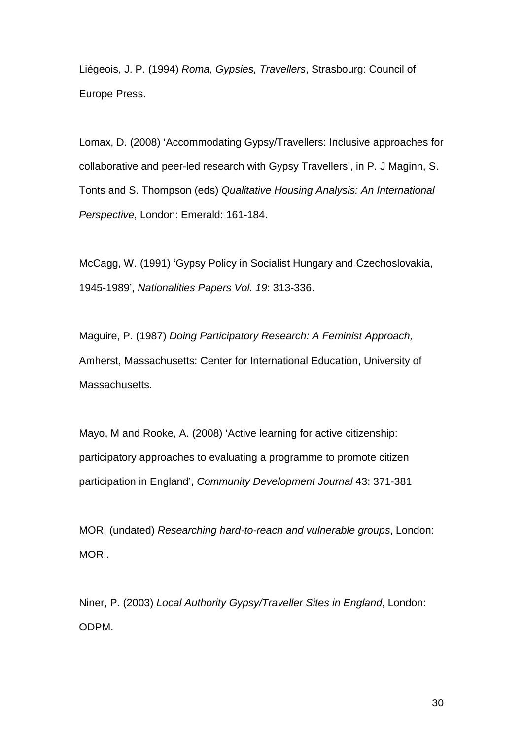Liégeois, J. P. (1994) *Roma, Gypsies, Travellers*, Strasbourg: Council of Europe Press.

Lomax, D. (2008) 'Accommodating Gypsy/Travellers: Inclusive approaches for collaborative and peer-led research with Gypsy Travellers', in P. J Maginn, S. Tonts and S. Thompson (eds) *Qualitative Housing Analysis: An International Perspective*, London: Emerald: 161-184.

McCagg, W. (1991) 'Gypsy Policy in Socialist Hungary and Czechoslovakia, 1945-1989', *Nationalities Papers Vol. 19*: 313-336.

Maguire, P. (1987) *Doing Participatory Research: A Feminist Approach,*  Amherst, Massachusetts: Center for International Education, University of Massachusetts.

Mayo, M and Rooke, A. (2008) 'Active learning for active citizenship: participatory approaches to evaluating a programme to promote citizen participation in England', *Community Development Journal* 43: 371-381

MORI (undated) *Researching hard-to-reach and vulnerable groups*, London: MORI.

Niner, P. (2003) *Local Authority Gypsy/Traveller Sites in England*, London: ODPM.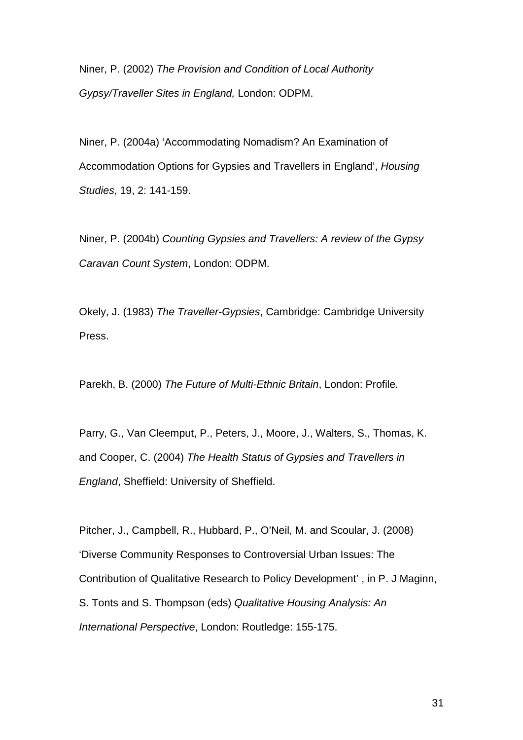Niner, P. (2002) *The Provision and Condition of Local Authority Gypsy/Traveller Sites in England,* London: ODPM.

Niner, P. (2004a) 'Accommodating Nomadism? An Examination of Accommodation Options for Gypsies and Travellers in England', *Housing Studies*, 19, 2: 141-159.

Niner, P. (2004b) *[Counting Gypsies and Travellers: A review of the Gypsy](http://www.odpm.gov.uk/index.asp?id=1153576)  [Caravan Count System](http://www.odpm.gov.uk/index.asp?id=1153576)*, London: ODPM.

Okely, J. (1983) *The Traveller-Gypsies*, Cambridge: Cambridge University Press.

Parekh, B. (2000) *The Future of Multi-Ethnic Britain*, London: Profile.

Parry, G., Van Cleemput, P., Peters, J., Moore, J., Walters, S., Thomas, K. and Cooper, C. (2004) *The Health Status of Gypsies and Travellers in England*, Sheffield: University of Sheffield.

Pitcher, J., Campbell, R., Hubbard, P., O'Neil, M. and Scoular, J. (2008) 'Diverse Community Responses to Controversial Urban Issues: The Contribution of Qualitative Research to Policy Development' , in P. J Maginn, S. Tonts and S. Thompson (eds) *Qualitative Housing Analysis: An International Perspective*, London: Routledge: 155-175.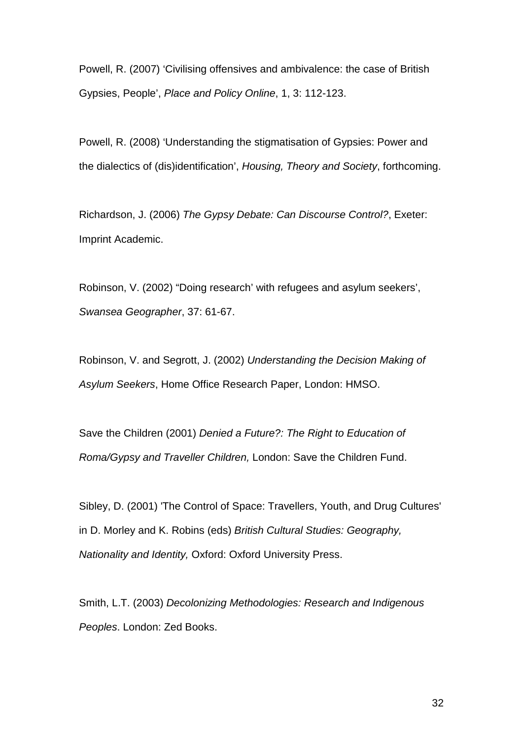Powell, R. (2007) 'Civilising offensives and ambivalence: the case of British Gypsies, People', *Place and Policy Online*, 1, 3: 112-123.

Powell, R. (2008) 'Understanding the stigmatisation of Gypsies: Power and the dialectics of (dis)identification', *Housing, Theory and Society*, forthcoming.

Richardson, J. (2006) *The Gypsy Debate: Can Discourse Control?*, Exeter: Imprint Academic.

Robinson, V. (2002) "Doing research' with refugees and asylum seekers', *Swansea Geographer*, 37: 61-67.

Robinson, V. and Segrott, J. (2002) *Understanding the Decision Making of Asylum Seekers*, Home Office Research Paper, London: HMSO.

Save the Children (2001) *Denied a Future?: The Right to Education of Roma/Gypsy and Traveller Children,* London: Save the Children Fund.

Sibley, D. (2001) 'The Control of Space: Travellers, Youth, and Drug Cultures' in D. Morley and K. Robins (eds) *British Cultural Studies: Geography, Nationality and Identity,* Oxford: Oxford University Press.

Smith, L.T. (2003) *Decolonizing Methodologies: Research and Indigenous Peoples*. London: Zed Books.